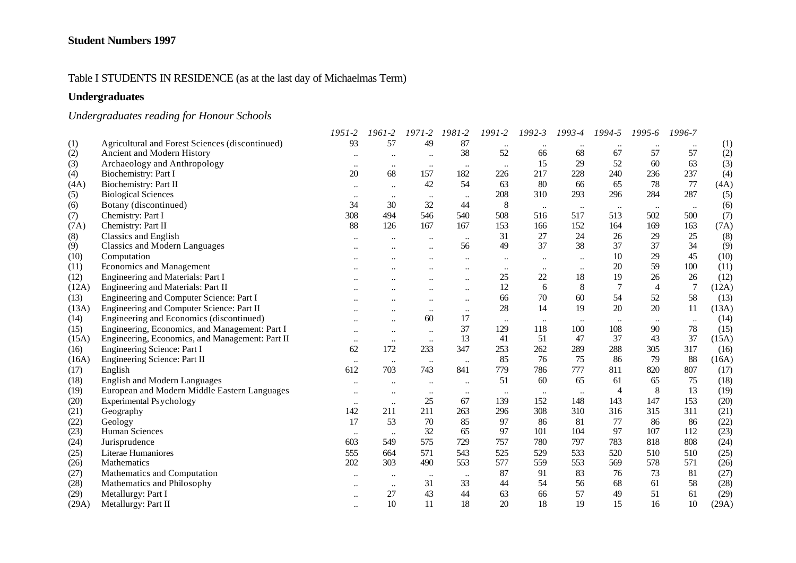#### Table I STUDENTS IN RESIDENCE (as at the last day of Michaelmas Term)

# **Undergraduates**

# *Undergraduates reading for Honour Schools*

|       |                                                 | 1951-2               | 1961-2               | $1971 - 2$           | 1981-2    | 1991-2    | $1992 - 3$ | 1993-4        | 1994-5    | 1995-6         | 1996-7         |       |
|-------|-------------------------------------------------|----------------------|----------------------|----------------------|-----------|-----------|------------|---------------|-----------|----------------|----------------|-------|
| (1)   | Agricultural and Forest Sciences (discontinued) | 93                   | 57                   | 49                   | 87        |           |            |               |           |                |                | (1)   |
| (2)   | Ancient and Modern History                      | $\ldots$             | $\ddotsc$            | $\ddotsc$            | 38        | 52        | 66         | 68            | 67        | 57             | 57             | (2)   |
| (3)   | Archaeology and Anthropology                    | $\bullet\bullet$     | $\ddotsc$            | $\ldots$             | $\ddotsc$ | $\ldots$  | 15         | 29            | 52        | 60             | 63             | (3)   |
| (4)   | Biochemistry: Part I                            | 20                   | 68                   | 157                  | 182       | 226       | 217        | 228           | 240       | 236            | 237            | (4)   |
| (4A)  | <b>Biochemistry: Part II</b>                    | $\bullet\bullet$     | $\ddotsc$            | 42                   | 54        | 63        | 80         | 66            | 65        | 78             | 77             | (4A)  |
| (5)   | <b>Biological Sciences</b>                      | $\bullet\bullet$     | $\ddotsc$            | $\ldots$             | $\ldots$  | 208       | 310        | 293           | 296       | 284            | 287            | (5)   |
| (6)   | Botany (discontinued)                           | 34                   | 30                   | 32                   | 44        | 8         | $\ldots$   | $\cdot \cdot$ | $\ldots$  | $\ddots$       | $\ldots$       | (6)   |
| (7)   | Chemistry: Part I                               | 308                  | 494                  | 546                  | 540       | 508       | 516        | 517           | 513       | 502            | 500            | (7)   |
| (7A)  | Chemistry: Part II                              | 88                   | 126                  | 167                  | 167       | 153       | 166        | 152           | 164       | 169            | 163            | (7A)  |
| (8)   | <b>Classics and English</b>                     | $\ddot{\phantom{a}}$ |                      | $\ddotsc$            | $\ddotsc$ | 31        | 27         | 24            | 26        | 29             | 25             | (8)   |
| (9)   | <b>Classics and Modern Languages</b>            |                      |                      | $\ddot{\phantom{a}}$ | 56        | 49        | 37         | 38            | 37        | 37             | 34             | (9)   |
| (10)  | Computation                                     |                      |                      |                      |           | $\ddotsc$ | $\ldots$   |               | 10        | 29             | 45             | (10)  |
| (11)  | <b>Economics and Management</b>                 |                      |                      |                      | ٠.        | $\ddotsc$ | $\ddotsc$  |               | 20        | 59             | 100            | (11)  |
| (12)  | Engineering and Materials: Part I               |                      |                      | $\ddot{\phantom{a}}$ | $\ddotsc$ | 25        | 22         | 18            | 19        | 26             | 26             | (12)  |
| (12A) | Engineering and Materials: Part II              |                      |                      |                      | $\ddotsc$ | 12        | 6          | 8             | 7         | $\overline{4}$ | $\overline{7}$ | (12A) |
| (13)  | Engineering and Computer Science: Part I        |                      |                      | $\ddotsc$            | $\ddotsc$ | 66        | 70         | 60            | 54        | 52             | 58             | (13)  |
| (13A) | Engineering and Computer Science: Part II       |                      |                      | $\ddotsc$            | $\ldots$  | 28        | 14         | 19            | 20        | 20             | 11             | (13A) |
| (14)  | Engineering and Economics (discontinued)        | $\ddotsc$            | $\ldots$             | 60                   | 17        | $\ldots$  | $\ldots$   |               | $\ddotsc$ | $\ddotsc$      | $\ddotsc$      | (14)  |
| (15)  | Engineering, Economics, and Management: Part I  | $\ddotsc$            | $\ddotsc$            | $\ddotsc$            | 37        | 129       | 118        | 100           | 108       | 90             | 78             | (15)  |
| (15A) | Engineering, Economics, and Management: Part II | $\ddotsc$            | $\ldots$             | $\ddots$             | 13        | 41        | 51         | 47            | 37        | 43             | 37             | (15A) |
| (16)  | Engineering Science: Part I                     | 62                   | 172                  | 233                  | 347       | 253       | 262        | 289           | 288       | 305            | 317            | (16)  |
| (16A) | Engineering Science: Part II                    | $\ldots$             | $\ldots$             | $\ldots$             | $\ddotsc$ | 85        | 76         | 75            | 86        | 79             | 88             | (16A) |
| (17)  | English                                         | 612                  | 703                  | 743                  | 841       | 779       | 786        | 777           | 811       | 820            | 807            | (17)  |
| (18)  | <b>English and Modern Languages</b>             | $\ldots$             | $\ddot{\phantom{a}}$ | $\ddotsc$            | $\ddotsc$ | 51        | 60         | 65            | 61        | 65             | 75             | (18)  |
| (19)  | European and Modern Middle Eastern Languages    | $\ldots$             | $\ddotsc$            | $\ldots$             | $\ddotsc$ | $\ddotsc$ | $\ldots$   |               | 4         | 8              | 13             | (19)  |
| (20)  | <b>Experimental Psychology</b>                  | $\ldots$             | $\ddotsc$            | 25                   | 67        | 139       | 152        | 148           | 143       | 147            | 153            | (20)  |
| (21)  | Geography                                       | 142                  | 211                  | 211                  | 263       | 296       | 308        | 310           | 316       | 315            | 311            | (21)  |
| (22)  | Geology                                         | 17                   | 53                   | 70                   | 85        | 97        | 86         | 81            | 77        | 86             | 86             | (22)  |
| (23)  | <b>Human Sciences</b>                           | $\bullet\bullet$     | $\ddotsc$            | 32                   | 65        | 97        | 101        | 104           | 97        | 107            | 112            | (23)  |
| (24)  | Jurisprudence                                   | 603                  | 549                  | 575                  | 729       | 757       | 780        | 797           | 783       | 818            | 808            | (24)  |
| (25)  | Literae Humaniores                              | 555                  | 664                  | 571                  | 543       | 525       | 529        | 533           | 520       | 510            | 510            | (25)  |
| (26)  | Mathematics                                     | 202                  | 303                  | 490                  | 553       | 577       | 559        | 553           | 569       | 578            | 571            | (26)  |
| (27)  | Mathematics and Computation                     | $\ddotsc$            | $\ddotsc$            | $\ddotsc$            | $\ldots$  | 87        | 91         | 83            | 76        | 73             | 81             | (27)  |
| (28)  | Mathematics and Philosophy                      | $\ddotsc$            | $\ddotsc$            | 31                   | 33        | 44        | 54         | 56            | 68        | 61             | 58             | (28)  |
| (29)  | Metallurgy: Part I                              | $\ldots$             | 27                   | 43                   | 44        | 63        | 66         | 57            | 49        | 51             | 61             | (29)  |
| (29A) | Metallurgy: Part II                             | $\ddotsc$            | 10                   | 11                   | 18        | 20        | 18         | 19            | 15        | 16             | 10             | (29A) |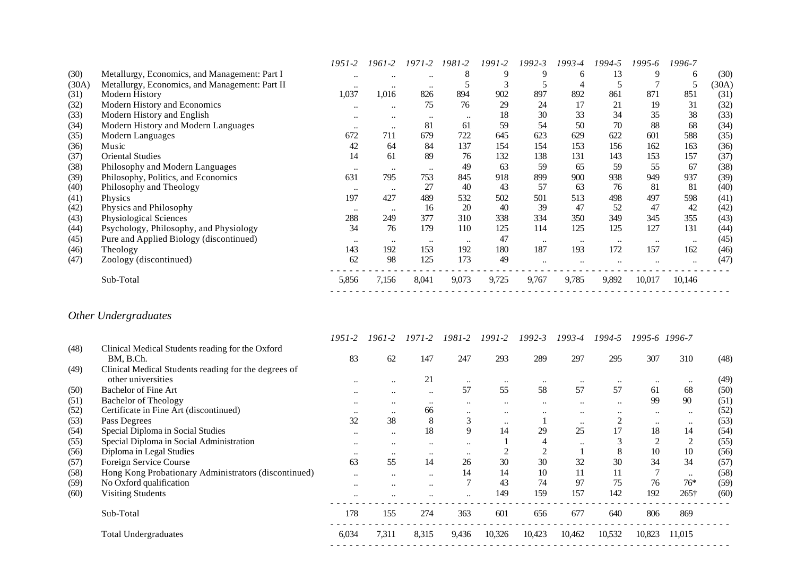|       |                                                | 1951-2           | 1961-2               | 1971-2           | 1981-2           | 1991-2 | 1992-3               | 1993-4    | 1994-5    | 1995-6           | 1996-7    |       |
|-------|------------------------------------------------|------------------|----------------------|------------------|------------------|--------|----------------------|-----------|-----------|------------------|-----------|-------|
| (30)  | Metallurgy, Economics, and Management: Part I  | $\ddotsc$        | $\ddot{\phantom{0}}$ | $\ddotsc$        | 8                | 9      | 9                    | 6         | 13        | 9                | 6         | (30)  |
| (30A) | Metallurgy, Economics, and Management: Part II | $\ddotsc$        | $\ddotsc$            | $\ddotsc$        |                  |        |                      | 4         |           |                  | 5         | (30A) |
| (31)  | Modern History                                 | 1,037            | 1,016                | 826              | 894              | 902    | 897                  | 892       | 861       | 871              | 851       | (31)  |
| (32)  | Modern History and Economics                   | $\bullet\bullet$ | $\ddotsc$            | 75               | 76               | 29     | 24                   | 17        | 21        | 19               | 31        | (32)  |
| (33)  | Modern History and English                     | $\bullet\bullet$ | $\bullet\bullet$     | $\bullet\bullet$ | $\ddotsc$        | 18     | 30                   | 33        | 34        | 35               | 38        | (33)  |
| (34)  | Modern History and Modern Languages            | $\ddotsc$        | $\ddotsc$            | 81               | 61               | 59     | 54                   | 50        | 70        | 88               | 68        | (34)  |
| (35)  | Modern Languages                               | 672              | 711                  | 679              | 722              | 645    | 623                  | 629       | 622       | 601              | 588       | (35)  |
| (36)  | Music                                          | 42               | 64                   | 84               | 137              | 154    | 154                  | 153       | 156       | 162              | 163       | (36)  |
| (37)  | <b>Oriental Studies</b>                        | 14               | 61                   | 89               | 76               | 132    | 138                  | 131       | 143       | 153              | 157       | (37)  |
| (38)  | Philosophy and Modern Languages                | $\cdot \cdot$    | $\ddotsc$            | $\ddotsc$        | 49               | 63     | 59                   | 65        | 59        | 55               | 67        | (38)  |
| (39)  | Philosophy, Politics, and Economics            | 631              | 795                  | 753              | 845              | 918    | 899                  | 900       | 938       | 949              | 937       | (39)  |
| (40)  | Philosophy and Theology                        | $\ddotsc$        | $\cdots$             | 27               | 40               | 43     | 57                   | 63        | 76        | 81               | 81        | (40)  |
| (41)  | Physics                                        | 197              | 427                  | 489              | 532              | 502    | 501                  | 513       | 498       | 497              | 598       | (41)  |
| (42)  | Physics and Philosophy                         | $\ddotsc$        | $\cdots$             | 16               | 20               | 40     | 39                   | 47        | 52        | 47               | 42        | (42)  |
| (43)  | Physiological Sciences                         | 288              | 249                  | 377              | 310              | 338    | 334                  | 350       | 349       | 345              | 355       | (43)  |
| (44)  | Psychology, Philosophy, and Physiology         | 34               | 76                   | 179              | 110              | 125    | 114                  | 125       | 125       | 127              | 131       | (44)  |
| (45)  | Pure and Applied Biology (discontinued)        | $\ddotsc$        | $\ddotsc$            | $\ddotsc$        | $\bullet\bullet$ | 47     | $\ddotsc$            | $\ddotsc$ | $\ddotsc$ | $\bullet\bullet$ | $\ddotsc$ | (45)  |
| (46)  | Theology                                       | 143              | 192                  | 153              | 192              | 180    | 187                  | 193       | 172       | 157              | 162       | (46)  |
| (47)  | Zoology (discontinued)                         | 62               | 98                   | 125              | 173              | 49     | $\ddot{\phantom{0}}$ |           |           |                  | $\ddotsc$ | (47)  |
|       | Sub-Total                                      | 5,856            | 7,156                | 8,041            | 9,073            | 9,725  | 9,767                | 9,785     | 9,892     | 10,017           | 10,146    |       |

# *Other Undergraduates*

|      |                                                               | 1951-2    | 1961-2           | 1971-2    | 1981-2               | 1991-2    | $1992 - 3$ | 1993-4           | 1994-5    |           | 1995-6 1996-7 |      |
|------|---------------------------------------------------------------|-----------|------------------|-----------|----------------------|-----------|------------|------------------|-----------|-----------|---------------|------|
| (48) | Clinical Medical Students reading for the Oxford<br>BM, B.Ch. | 83        | 62               | 147       | 247                  | 293       | 289        | 297              | 295       | 307       | 310           | (48) |
| (49) | Clinical Medical Students reading for the degrees of          |           |                  |           |                      |           |            |                  |           |           |               |      |
|      | other universities                                            | $\ddotsc$ | $\ddotsc$        | 21        | $\ddotsc$            | $\ddotsc$ | $\ddotsc$  | $\bullet\bullet$ |           | $\ddotsc$ | $\ddotsc$     | (49) |
| (50) | <b>Bachelor of Fine Art</b>                                   | $\ddotsc$ | $\ddotsc$        | $\ddotsc$ | 57                   | 55        | 58         | 57               | 57        | 61        | 68            | (50) |
| (51) | <b>Bachelor of Theology</b>                                   | $\ddotsc$ | $\ddotsc$        | $\cdot$   | $\ddot{\phantom{0}}$ |           | $\ddotsc$  | $\ddotsc$        | $\ddotsc$ | 99        | 90            | (51) |
| (52) | Certificate in Fine Art (discontinued)                        |           | $\ddotsc$        | 66        | $\ddotsc$            | $\ddotsc$ | $\ddotsc$  | $\ddotsc$        |           | $\ddotsc$ | $\ddotsc$     | (52) |
| (53) | Pass Degrees                                                  | 32        | 38               | 8         | 3                    | $\ddotsc$ |            | $\bullet\bullet$ |           | $\ddotsc$ | $\ddotsc$     | (53) |
| (54) | Special Diploma in Social Studies                             | $\ddotsc$ | $\cdots$         | 18        |                      | 14        | 29         | 25               | 17        | 18        | 14            | (54) |
| (55) | Special Diploma in Social Administration                      | $\ddotsc$ | $\bullet\bullet$ | $\ddotsc$ |                      |           |            | $\ddotsc$        |           |           |               | (55) |
| (56) | Diploma in Legal Studies                                      | $\ddotsc$ | $\ddotsc$        | $\ddotsc$ | $\ddot{\phantom{0}}$ |           |            |                  | 8         | 10        | 10            | (56) |
| (57) | Foreign Service Course                                        | 63        | 55               | 14        | 26                   | 30        | 30         | 32               | 30        | 34        | 34            | (57) |
| (58) | Hong Kong Probationary Administrators (discontinued)          | $\ddotsc$ | $\ddotsc$        | $\ddotsc$ | 14                   | 14        | 10         | 11               | 11        |           | $\ddotsc$     | (58) |
| (59) | No Oxford qualification                                       | $\ddotsc$ | $\ddotsc$        | $\ddotsc$ |                      | 43        | 74         | 97               | 75        | 76        | $76*$         | (59) |
| (60) | <b>Visiting Students</b>                                      |           |                  |           |                      | 149       | 159        | 157              | 142       | 192       | $265\dagger$  | (60) |
|      | Sub-Total                                                     | 178       | 155              | 274       | 363                  | 601       | 656        | 677              | 640       | 806       | 869           |      |
|      | <b>Total Undergraduates</b>                                   | 6,034     | 7,311            | 8,315     | 9,436                | 10,326    | 10,423     | 10,462           | 10,532    | 10,823    | 11,015        |      |
|      |                                                               |           |                  |           |                      |           |            |                  |           |           |               |      |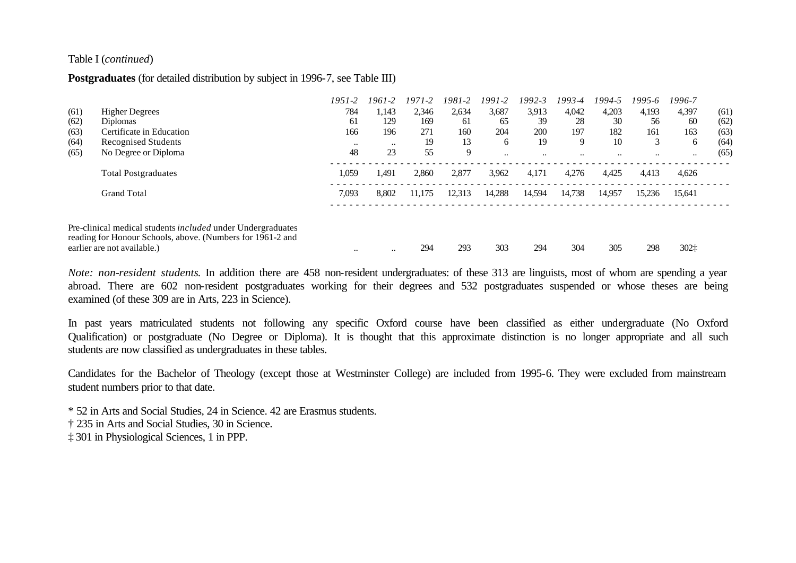#### Table I (*continued*)

#### **Postgraduates** (for detailed distribution by subject in 1996-7, see Table III)

|      |                                                                                                                                                                 | $1951 - 2$ | 1961-2    | 1971-2 | 1981-2 | 1991-2    | 1992-3               | 1993-4 | 1994-5    | 1995-6    | 1996-7    |      |
|------|-----------------------------------------------------------------------------------------------------------------------------------------------------------------|------------|-----------|--------|--------|-----------|----------------------|--------|-----------|-----------|-----------|------|
| (61) | <b>Higher Degrees</b>                                                                                                                                           | 784        | 1,143     | 2,346  | 2,634  | 3,687     | 3.913                | 4,042  | 4,203     | 4,193     | 4,397     | (61) |
| (62) | <b>Diplomas</b>                                                                                                                                                 | 61         | 129       | 169    | 61     | 65        | 39                   | 28     | 30        | 56        | 60        | (62) |
| (63) | Certificate in Education                                                                                                                                        | 166        | 196       | 271    | 160    | 204       | 200                  | 197    | 182       | 161       | 163       | (63) |
| (64) | <b>Recognised Students</b>                                                                                                                                      | $\ddotsc$  | $\ddotsc$ | 19     | 13     | 6         | 19                   | 9      | 10        | 3         | 6         | (64) |
| (65) | No Degree or Diploma                                                                                                                                            | 48         | 23        | 55     | 9      | $\ddotsc$ | $\ddot{\phantom{0}}$ |        | $\ddotsc$ | $\ddotsc$ | $\ddotsc$ | (65) |
|      | <b>Total Postgraduates</b>                                                                                                                                      | 1,059      | 1,491     | 2,860  | 2,877  | 3,962     | 4,171                | 4,276  | 4,425     | 4,413     | 4,626     |      |
|      | <b>Grand Total</b>                                                                                                                                              | 7,093      | 8,802     | 11.175 | 12,313 | 14.288    | 14,594               | 14,738 | 14,957    | 15,236    | 15,641    |      |
|      | Pre-clinical medical students <i>included</i> under Undergraduates<br>reading for Honour Schools, above. (Numbers for 1961-2 and<br>earlier are not available.) | $\ddotsc$  | $\ddotsc$ | 294    | 293    | 303       | 294                  | 304    | 305       | 298       | 3021      |      |

*Note: non-resident students*. In addition there are 458 non-resident undergraduates: of these 313 are linguists, most of whom are spending a year abroad. There are 602 non-resident postgraduates working for their degrees and 532 postgraduates suspended or whose theses are being examined (of these 309 are in Arts, 223 in Science).

In past years matriculated students not following any specific Oxford course have been classified as either undergraduate (No Oxford Qualification) or postgraduate (No Degree or Diploma). It is thought that this approximate distinction is no longer appropriate and all such students are now classified as undergraduates in these tables.

Candidates for the Bachelor of Theology (except those at Westminster College) are included from 1995-6. They were excluded from mainstream student numbers prior to that date.

\* 52 in Arts and Social Studies, 24 in Science. 42 are Erasmus students.

† 235 in Arts and Social Studies, 30 in Science.

‡ 301 in Physiological Sciences, 1 in PPP.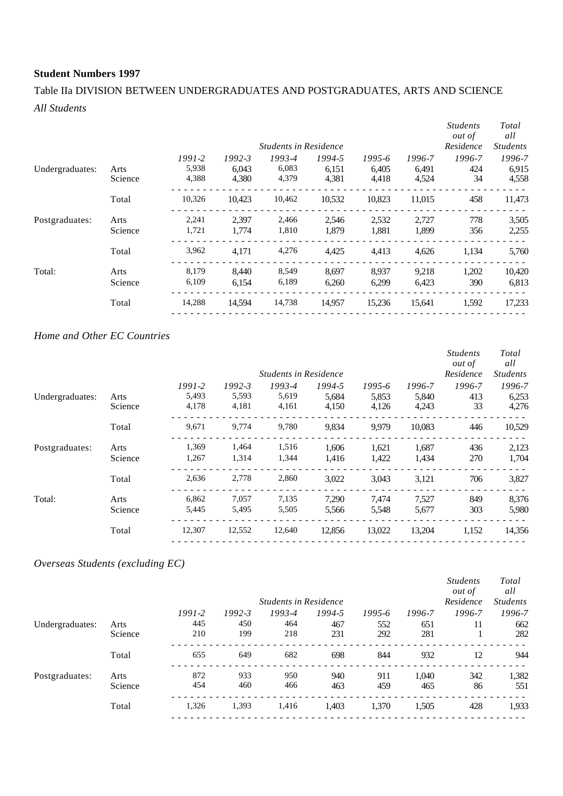# Table IIa DIVISION BETWEEN UNDERGRADUATES AND POSTGRADUATES, ARTS AND SCIENCE *All Students*

|                 |         |        |            | <b>Students in Residence</b> |        |        |        | <b>Students</b><br><i>out of</i><br>Residence | Total<br>all<br><b>Students</b> |
|-----------------|---------|--------|------------|------------------------------|--------|--------|--------|-----------------------------------------------|---------------------------------|
|                 |         | 1991-2 | $1992 - 3$ | 1993-4                       | 1994-5 | 1995-6 | 1996-7 | 1996-7                                        | 1996-7                          |
| Undergraduates: | Arts    | 5,938  | 6.043      | 6,083                        | 6,151  | 6.405  | 6,491  | 424                                           | 6,915                           |
|                 | Science | 4,388  | 4,380      | 4,379                        | 4,381  | 4,418  | 4,524  | 34                                            | 4,558                           |
|                 | Total   | 10,326 | 10.423     | 10,462                       | 10,532 | 10,823 | 11,015 | 458                                           | 11,473                          |
| Postgraduates:  | Arts    | 2,241  | 2.397      | 2,466                        | 2,546  | 2,532  | 2,727  | 778                                           | 3,505                           |
|                 | Science | 1,721  | 1.774      | 1,810                        | 1.879  | 1,881  | 1,899  | 356                                           | 2,255                           |
|                 | Total   | 3,962  | 4,171      | 4,276                        | 4,425  | 4,413  | 4,626  | 1,134                                         | 5,760                           |
| Total:          | Arts    | 8,179  | 8,440      | 8,549                        | 8,697  | 8,937  | 9,218  | 1,202                                         | 10,420                          |
|                 | Science | 6,109  | 6,154      | 6,189                        | 6,260  | 6,299  | 6,423  | 390                                           | 6,813                           |
|                 | Total   | 14,288 | 14.594     | 14,738                       | 14,957 | 15,236 | 15,641 | 1,592                                         | 17,233                          |

#### *Home and Other EC Countries*

|                 |         |            |            |                              |        |        |        | <i>Students</i><br>out of | Total<br>all    |
|-----------------|---------|------------|------------|------------------------------|--------|--------|--------|---------------------------|-----------------|
|                 |         |            |            | <b>Students in Residence</b> |        |        |        | Residence                 | <i>Students</i> |
|                 |         | $1991 - 2$ | $1992 - 3$ | 1993-4                       | 1994-5 | 1995-6 | 1996-7 | 1996-7                    | 1996-7          |
| Undergraduates: | Arts    | 5,493      | 5,593      | 5,619                        | 5,684  | 5,853  | 5,840  | 413                       | 6,253           |
|                 | Science | 4,178      | 4,181      | 4,161                        | 4,150  | 4,126  | 4,243  | 33                        | 4,276           |
|                 | Total   | 9,671      | 9,774      | 9,780                        | 9,834  | 9,979  | 10,083 | 446                       | 10,529          |
| Postgraduates:  | Arts    | 1,369      | 1,464      | 1,516                        | 1,606  | 1,621  | 1,687  | 436                       | 2,123           |
|                 | Science | 1,267      | 1,314      | 1,344                        | 1,416  | 1,422  | 1,434  | 270                       | 1,704           |
|                 | Total   | 2,636      | 2,778      | 2,860                        | 3,022  | 3,043  | 3,121  | 706                       | 3,827           |
| Total:          | Arts    | 6,862      | 7,057      | 7,135                        | 7,290  | 7,474  | 7,527  | 849                       | 8,376           |
|                 | Science | 5,445      | 5,495      | 5,505                        | 5,566  | 5,548  | 5,677  | 303                       | 5,980           |
|                 | Total   | 12,307     | 12,552     | 12,640                       | 12,856 | 13,022 | 13,204 | 1,152                     | 14,356          |
|                 |         |            |            |                              |        |        |        |                           |                 |

#### *Overseas Students (excluding EC)*

|                 |         |            |            |                              |        |        |        | <b>Students</b><br><i>out of</i> | Total<br>all    |
|-----------------|---------|------------|------------|------------------------------|--------|--------|--------|----------------------------------|-----------------|
|                 |         |            |            | <b>Students in Residence</b> |        |        |        | Residence                        | <b>Students</b> |
|                 |         | $1991 - 2$ | $1992 - 3$ | 1993-4                       | 1994-5 | 1995-6 | 1996-7 | 1996-7                           | 1996-7          |
| Undergraduates: | Arts    | 445        | 450        | 464                          | 467    | 552    | 651    | 11                               | 662             |
|                 | Science | 210        | 199        | 218                          | 231    | 292    | 281    |                                  | 282             |
|                 | Total   | 655        | 649        | 682                          | 698    | 844    | 932    | 12                               | 944             |
| Postgraduates:  | Arts    | 872        | 933        | 950                          | 940    | 911    | 1,040  | 342                              | 1,382           |
|                 | Science | 454        | 460        | 466                          | 463    | 459    | 465    | 86                               | 551             |
|                 | Total   | 1,326      | 1,393      | 1,416                        | 1,403  | 1,370  | 1,505  | 428                              | 1,933           |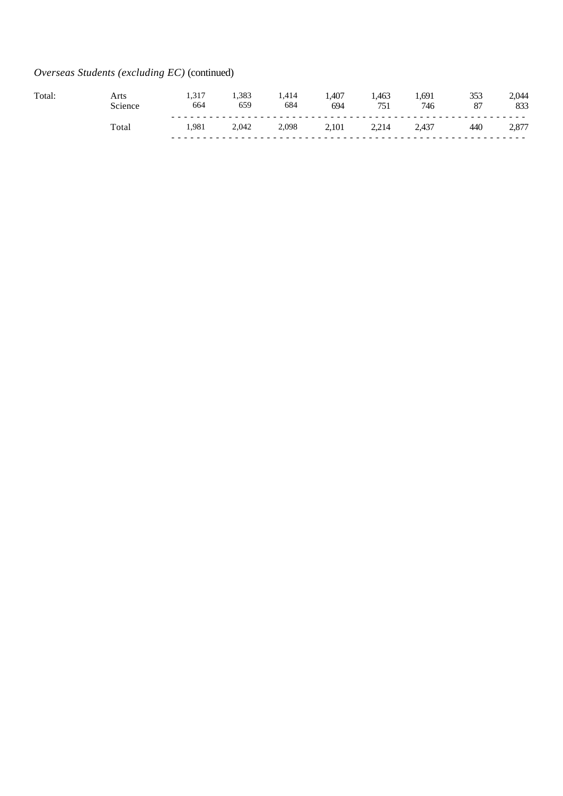# *Overseas Students (excluding EC)* (continued)

| Total | Arts  | 1.317<br>664 | 1,383<br>659 | 414<br>- 17<br>684 | 1,407<br>694 | .463<br>751 | .691<br>746 | 87  | 044<br>833    |
|-------|-------|--------------|--------------|--------------------|--------------|-------------|-------------|-----|---------------|
|       | Tota. | 1.981        | 2,042        | 2,098              | 2.101        | 2.214       | 2,437       | 440 | 877 /<br>$-1$ |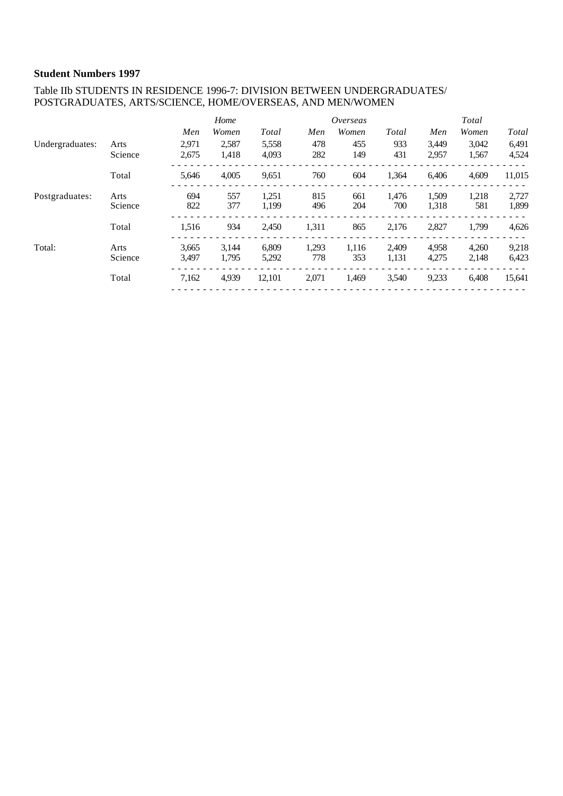#### Table IIb STUDENTS IN RESIDENCE 1996-7: DIVISION BETWEEN UNDERGRADUATES/ POSTGRADUATES, ARTS/SCIENCE, HOME/OVERSEAS, AND MEN/WOMEN

|                 |         |       | Home  |        |       | Overseas |       |       | Total |        |
|-----------------|---------|-------|-------|--------|-------|----------|-------|-------|-------|--------|
|                 |         | Men   | Women | Total  | Men   | Women    | Total | Men   | Women | Total  |
| Undergraduates: | Arts    | 2,971 | 2,587 | 5,558  | 478   | 455      | 933   | 3,449 | 3,042 | 6,491  |
|                 | Science | 2,675 | 1.418 | 4.093  | 282   | 149      | 431   | 2,957 | 1,567 | 4,524  |
|                 | Total   | 5,646 | 4.005 | 9,651  | 760   | 604      | 1,364 | 6,406 | 4.609 | 11,015 |
| Postgraduates:  | Arts    | 694   | 557   | 1,251  | 815   | 661      | 1,476 | 1,509 | 1,218 | 2,727  |
|                 | Science | 822   | 377   | 1.199  | 496   | 204      | 700   | 1,318 | 581   | 1,899  |
|                 | Total   | 1,516 | 934   | 2,450  | 1,311 | 865      | 2,176 | 2,827 | 1,799 | 4,626  |
| Total:          | Arts    | 3.665 | 3.144 | 6.809  | 1,293 | 1,116    | 2,409 | 4,958 | 4,260 | 9,218  |
|                 | Science | 3,497 | 1.795 | 5,292  | 778   | 353      | 1,131 | 4,275 | 2,148 | 6,423  |
|                 | Total   | 7,162 | 4.939 | 12,101 | 2,071 | 1,469    | 3,540 | 9,233 | 6,408 | 15,641 |
|                 |         |       |       |        |       |          |       |       |       |        |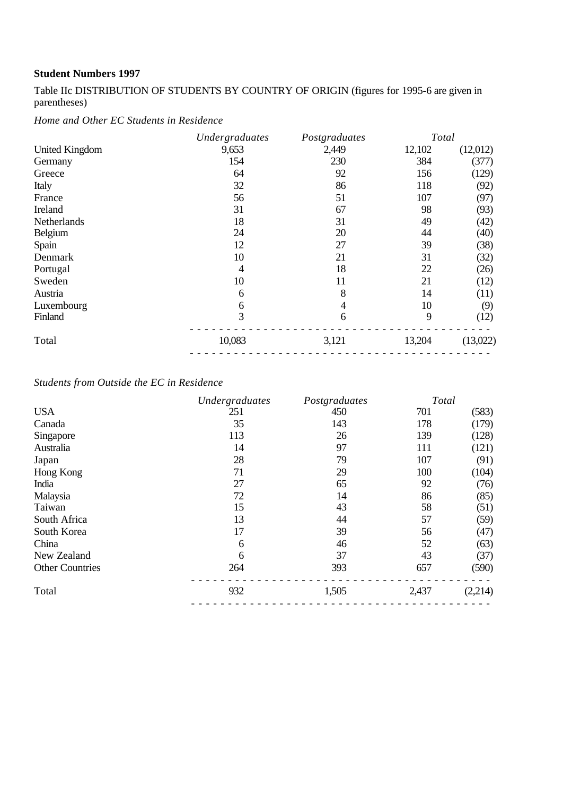Table IIc DISTRIBUTION OF STUDENTS BY COUNTRY OF ORIGIN (figures for 1995-6 are given in parentheses)

*Home and Other EC Students in Residence*

|                       | Undergraduates | Postgraduates | Total  |          |
|-----------------------|----------------|---------------|--------|----------|
| <b>United Kingdom</b> | 9,653          | 2,449         | 12,102 | (12,012) |
| Germany               | 154            | 230           | 384    | (377)    |
| Greece                | 64             | 92            | 156    | (129)    |
| Italy                 | 32             | 86            | 118    | (92)     |
| France                | 56             | 51            | 107    | (97)     |
| Ireland               | 31             | 67            | 98     | (93)     |
| Netherlands           | 18             | 31            | 49     | (42)     |
| Belgium               | 24             | 20            | 44     | (40)     |
| Spain                 | 12             | 27            | 39     | (38)     |
| Denmark               | 10             | 21            | 31     | (32)     |
| Portugal              | 4              | 18            | 22     | (26)     |
| Sweden                | 10             | 11            | 21     | (12)     |
| Austria               | 6              | 8             | 14     | (11)     |
| Luxembourg            | 6              | 4             | 10     | (9)      |
| Finland               | 3              | 6             | 9      | (12)     |
| Total                 | 10,083         | 3,121         | 13,204 | (13,022) |
|                       |                |               |        |          |

# *Students from Outside the EC in Residence*

|                        | Undergraduates | Postgraduates | Total |         |
|------------------------|----------------|---------------|-------|---------|
| <b>USA</b>             | 251            | 450           | 701   | (583)   |
| Canada                 | 35             | 143           | 178   | (179)   |
| Singapore              | 113            | 26            | 139   | (128)   |
| Australia              | 14             | 97            | 111   | (121)   |
| Japan                  | 28             | 79            | 107   | (91)    |
| Hong Kong              | 71             | 29            | 100   | (104)   |
| India                  | 27             | 65            | 92    | (76)    |
| Malaysia               | 72             | 14            | 86    | (85)    |
| Taiwan                 | 15             | 43            | 58    | (51)    |
| South Africa           | 13             | 44            | 57    | (59)    |
| South Korea            | 17             | 39            | 56    | (47)    |
| China                  | 6              | 46            | 52    | (63)    |
| New Zealand            | 6              | 37            | 43    | (37)    |
| <b>Other Countries</b> | 264            | 393           | 657   | (590)   |
| Total                  | 932            | 1,505         | 2,437 | (2,214) |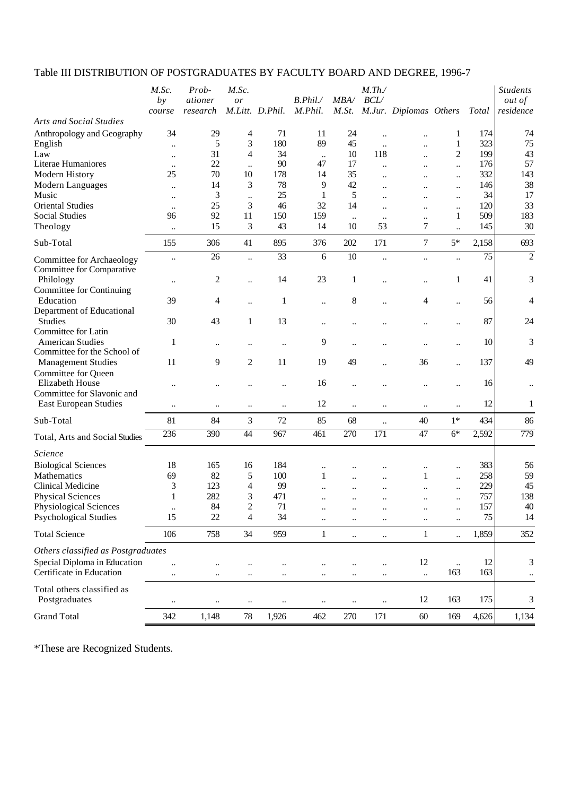# Table III DISTRIBUTION OF POSTGRADUATES BY FACULTY BOARD AND DEGREE, 1996-7

| M.St. M.Jur. Diplomas Others<br><b>Arts and Social Studies</b><br>174<br>34<br>29<br>4<br>71<br>11<br>24<br>Anthropology and Geography<br>1<br>$\ldots$<br>$\ddot{\phantom{0}}$<br>180<br>89<br>75<br>5<br>3<br>45<br>323<br>1<br>English<br>$\ddot{\phantom{a}}$<br>$\ddot{\phantom{0}}$<br>34<br>2<br>199<br>43<br>Law<br>31<br>4<br>10<br>118<br>$\ddot{\phantom{a}}$<br>$\ddot{\phantom{a}}$<br>$\ddotsc$<br>22<br>90<br>176<br>Literae Humaniores<br>47<br>17<br>$\ddot{\phantom{a}}$<br>$\ddot{\phantom{a}}$<br>$\ddotsc$<br>$\ddotsc$<br>$\ddot{\phantom{a}}$<br>332<br>25<br>70<br>10<br>178<br>14<br>35<br>Modern History<br>$\ddot{\phantom{a}}$<br><br><br>3<br>78<br>42<br>Modern Languages<br>14<br>9<br>146<br>$\ddot{\phantom{a}}$<br><br>$\ddot{\phantom{a}}$<br><br>25<br>34<br>3<br>1<br>5<br>Music<br>$\ddot{\phantom{a}}$<br>$\ddot{\phantom{a}}$<br>$\ddotsc$<br>$\ddot{\phantom{a}}$<br><br><b>Oriental Studies</b><br>25<br>3<br>46<br>32<br>120<br>14<br>$\ddot{\phantom{a}}$<br>$\ddotsc$<br>$\ddotsc$<br>$\ddotsc$<br>92<br>509<br><b>Social Studies</b><br>11<br>150<br>159<br>96<br>1<br>$\ddot{\phantom{a}}$<br>$\ddot{\phantom{0}}$<br>$\ddotsc$<br>30<br>15<br>3<br>43<br>53<br>145<br>Theology<br>14<br>10<br>7<br>$\ddot{\phantom{a}}$<br>$\ddotsc$<br>$5*$<br>Sub-Total<br>306<br>41<br>895<br>376<br>202<br>171<br>$\overline{7}$<br>2,158<br>155<br>$\overline{33}$<br>$\overline{75}$<br>26<br>6<br>10<br>$\ddot{\phantom{a}}$<br>$\ddotsc$<br>$\ddot{\phantom{a}}$<br>Committee for Archaeology<br>$\ddotsc$<br>$\ddot{\phantom{0}}$<br>Committee for Comparative<br>Philology<br>2<br>14<br>23<br>1<br>41<br>1<br>$\ddot{\phantom{0}}$<br>$\ddotsc$<br>$\ddot{\phantom{a}}$<br>$\ddot{\phantom{a}}$<br><b>Committee for Continuing</b><br>8<br>Education<br>39<br>4<br>$\mathbf{1}$<br>4<br>56<br>$\ddot{\phantom{a}}$<br>$\ddot{\phantom{a}}$<br>$\ddot{\phantom{0}}$<br>$\ddot{\phantom{0}}$<br>Department of Educational<br>30<br>13<br>87<br><b>Studies</b><br>43<br>$\mathbf{1}$<br>$\ddotsc$<br><br><br>Committee for Latin<br><b>American Studies</b><br>9<br>10<br>1<br>$\ddot{\phantom{0}}$<br>$\ddot{\phantom{0}}$<br>$\ddotsc$<br>$\ddotsc$<br>Committee for the School of<br>9<br>$\mathfrak{2}$<br>137<br>11<br>11<br>19<br>49<br>36<br><b>Management Studies</b><br>$\ddot{\phantom{a}}$<br><br>Committee for Queen<br>Elizabeth House<br>16<br>16<br>$\ddot{\phantom{0}}$<br>$\ddot{\phantom{a}}$<br>$\ddot{\phantom{a}}$<br><br><br>Committee for Slavonic and<br>12<br>12<br><b>East European Studies</b><br>$\ddotsc$<br><br>$\ddotsc$<br>$\ddotsc$<br>$\ddot{\phantom{0}}$<br>$\ddotsc$<br>$\ddotsc$<br>$\ddotsc$<br>434<br>Sub-Total<br>81<br>84<br>3<br>72<br>85<br>68<br>40<br>$1*$<br>$\ldots$<br>390<br>44<br>967<br>461<br>270<br>171<br>47<br>$6*$<br>2,592<br>236<br>Total, Arts and Social Studies<br><i><u><b>Science</b></u></i><br><b>Biological Sciences</b><br>18<br>184<br>383<br>165<br>16<br>$\ddot{\phantom{a}}$<br>69<br>82<br>100<br>258<br>Mathematics<br>5<br>1<br>1<br>$\ddot{\phantom{a}}$<br>$\ddotsc$<br>$\ddot{\phantom{a}}$<br>3<br>123<br>99<br>229<br>45<br>Clinical Medicine<br>4<br>$\ddot{\phantom{a}}$<br>138<br>282<br>3<br>471<br>757<br><b>Physical Sciences</b><br>$\mathbf 1$<br>$\ddot{\phantom{a}}$<br>157<br>84<br>$\mathfrak{D}$<br>40<br>Physiological Sciences<br>71<br><b>Psychological Studies</b><br>22<br>75<br>15<br>4<br>34<br>14<br>$\ddotsc$<br>$\ddotsc$<br>$\ddotsc$<br>$\ddotsc$<br>$\ddotsc$<br><b>Total Science</b><br>$\mathbf{1}$<br>1,859<br>106<br>758<br>34<br>959<br>$\mathbf{1}$<br>$\ddotsc$<br>$\ldots$<br>$\ldots$<br>Others classified as Postgraduates<br>Special Diploma in Education<br>12<br>12<br>$\ldots$<br>$\ddotsc$<br>Certificate in Education<br>163<br>163<br>$\ddotsc$<br>$\ddot{\phantom{0}}$<br>$\ddotsc$<br>$\ddotsc$<br>$\ddotsc$<br><br>Total others classified as<br>Postgraduates<br>12<br>175<br>163<br>$\ddotsc$<br>$\ddotsc$<br>$\ddotsc$<br>$\ddotsc$<br>$\ddotsc$<br>$\ddotsc$<br>$\ddotsc$<br><b>Grand Total</b><br>342<br>1,926<br>270<br>171<br>1,148<br>78<br>462<br>60<br>4,626<br>169 | M.Sc.<br>by<br>course | Prob-<br>ationer<br>research | M.Sc.<br>or | M.Litt. D.Phil. | B. Phil.<br>M.Phil. | MBA/ | $M$ .Th./<br>BCL/ |  | Total | <b>Students</b><br><i>out of</i><br>residence |
|-----------------------------------------------------------------------------------------------------------------------------------------------------------------------------------------------------------------------------------------------------------------------------------------------------------------------------------------------------------------------------------------------------------------------------------------------------------------------------------------------------------------------------------------------------------------------------------------------------------------------------------------------------------------------------------------------------------------------------------------------------------------------------------------------------------------------------------------------------------------------------------------------------------------------------------------------------------------------------------------------------------------------------------------------------------------------------------------------------------------------------------------------------------------------------------------------------------------------------------------------------------------------------------------------------------------------------------------------------------------------------------------------------------------------------------------------------------------------------------------------------------------------------------------------------------------------------------------------------------------------------------------------------------------------------------------------------------------------------------------------------------------------------------------------------------------------------------------------------------------------------------------------------------------------------------------------------------------------------------------------------------------------------------------------------------------------------------------------------------------------------------------------------------------------------------------------------------------------------------------------------------------------------------------------------------------------------------------------------------------------------------------------------------------------------------------------------------------------------------------------------------------------------------------------------------------------------------------------------------------------------------------------------------------------------------------------------------------------------------------------------------------------------------------------------------------------------------------------------------------------------------------------------------------------------------------------------------------------------------------------------------------------------------------------------------------------------------------------------------------------------------------------------------------------------------------------------------------------------------------------------------------------------------------------------------------------------------------------------------------------------------------------------------------------------------------------------------------------------------------------------------------------------------------------------------------------------------------------------------------------------------------------------------------------------------------------------------------------------------------------------------------------------------------------------------------------------------------------------------------------------------------------------------------------------------------------------------------------------------------------------------------------------------------------------------------------------------------------------------------------------------------------------|-----------------------|------------------------------|-------------|-----------------|---------------------|------|-------------------|--|-------|-----------------------------------------------|
|                                                                                                                                                                                                                                                                                                                                                                                                                                                                                                                                                                                                                                                                                                                                                                                                                                                                                                                                                                                                                                                                                                                                                                                                                                                                                                                                                                                                                                                                                                                                                                                                                                                                                                                                                                                                                                                                                                                                                                                                                                                                                                                                                                                                                                                                                                                                                                                                                                                                                                                                                                                                                                                                                                                                                                                                                                                                                                                                                                                                                                                                                                                                                                                                                                                                                                                                                                                                                                                                                                                                                                                                                                                                                                                                                                                                                                                                                                                                                                                                                                                                                                                                                     |                       |                              |             |                 |                     |      |                   |  |       |                                               |
|                                                                                                                                                                                                                                                                                                                                                                                                                                                                                                                                                                                                                                                                                                                                                                                                                                                                                                                                                                                                                                                                                                                                                                                                                                                                                                                                                                                                                                                                                                                                                                                                                                                                                                                                                                                                                                                                                                                                                                                                                                                                                                                                                                                                                                                                                                                                                                                                                                                                                                                                                                                                                                                                                                                                                                                                                                                                                                                                                                                                                                                                                                                                                                                                                                                                                                                                                                                                                                                                                                                                                                                                                                                                                                                                                                                                                                                                                                                                                                                                                                                                                                                                                     |                       |                              |             |                 |                     |      |                   |  |       | 74                                            |
|                                                                                                                                                                                                                                                                                                                                                                                                                                                                                                                                                                                                                                                                                                                                                                                                                                                                                                                                                                                                                                                                                                                                                                                                                                                                                                                                                                                                                                                                                                                                                                                                                                                                                                                                                                                                                                                                                                                                                                                                                                                                                                                                                                                                                                                                                                                                                                                                                                                                                                                                                                                                                                                                                                                                                                                                                                                                                                                                                                                                                                                                                                                                                                                                                                                                                                                                                                                                                                                                                                                                                                                                                                                                                                                                                                                                                                                                                                                                                                                                                                                                                                                                                     |                       |                              |             |                 |                     |      |                   |  |       |                                               |
|                                                                                                                                                                                                                                                                                                                                                                                                                                                                                                                                                                                                                                                                                                                                                                                                                                                                                                                                                                                                                                                                                                                                                                                                                                                                                                                                                                                                                                                                                                                                                                                                                                                                                                                                                                                                                                                                                                                                                                                                                                                                                                                                                                                                                                                                                                                                                                                                                                                                                                                                                                                                                                                                                                                                                                                                                                                                                                                                                                                                                                                                                                                                                                                                                                                                                                                                                                                                                                                                                                                                                                                                                                                                                                                                                                                                                                                                                                                                                                                                                                                                                                                                                     |                       |                              |             |                 |                     |      |                   |  |       | 57                                            |
|                                                                                                                                                                                                                                                                                                                                                                                                                                                                                                                                                                                                                                                                                                                                                                                                                                                                                                                                                                                                                                                                                                                                                                                                                                                                                                                                                                                                                                                                                                                                                                                                                                                                                                                                                                                                                                                                                                                                                                                                                                                                                                                                                                                                                                                                                                                                                                                                                                                                                                                                                                                                                                                                                                                                                                                                                                                                                                                                                                                                                                                                                                                                                                                                                                                                                                                                                                                                                                                                                                                                                                                                                                                                                                                                                                                                                                                                                                                                                                                                                                                                                                                                                     |                       |                              |             |                 |                     |      |                   |  |       | 143                                           |
|                                                                                                                                                                                                                                                                                                                                                                                                                                                                                                                                                                                                                                                                                                                                                                                                                                                                                                                                                                                                                                                                                                                                                                                                                                                                                                                                                                                                                                                                                                                                                                                                                                                                                                                                                                                                                                                                                                                                                                                                                                                                                                                                                                                                                                                                                                                                                                                                                                                                                                                                                                                                                                                                                                                                                                                                                                                                                                                                                                                                                                                                                                                                                                                                                                                                                                                                                                                                                                                                                                                                                                                                                                                                                                                                                                                                                                                                                                                                                                                                                                                                                                                                                     |                       |                              |             |                 |                     |      |                   |  |       | 38                                            |
|                                                                                                                                                                                                                                                                                                                                                                                                                                                                                                                                                                                                                                                                                                                                                                                                                                                                                                                                                                                                                                                                                                                                                                                                                                                                                                                                                                                                                                                                                                                                                                                                                                                                                                                                                                                                                                                                                                                                                                                                                                                                                                                                                                                                                                                                                                                                                                                                                                                                                                                                                                                                                                                                                                                                                                                                                                                                                                                                                                                                                                                                                                                                                                                                                                                                                                                                                                                                                                                                                                                                                                                                                                                                                                                                                                                                                                                                                                                                                                                                                                                                                                                                                     |                       |                              |             |                 |                     |      |                   |  |       | 17                                            |
|                                                                                                                                                                                                                                                                                                                                                                                                                                                                                                                                                                                                                                                                                                                                                                                                                                                                                                                                                                                                                                                                                                                                                                                                                                                                                                                                                                                                                                                                                                                                                                                                                                                                                                                                                                                                                                                                                                                                                                                                                                                                                                                                                                                                                                                                                                                                                                                                                                                                                                                                                                                                                                                                                                                                                                                                                                                                                                                                                                                                                                                                                                                                                                                                                                                                                                                                                                                                                                                                                                                                                                                                                                                                                                                                                                                                                                                                                                                                                                                                                                                                                                                                                     |                       |                              |             |                 |                     |      |                   |  |       | 33                                            |
|                                                                                                                                                                                                                                                                                                                                                                                                                                                                                                                                                                                                                                                                                                                                                                                                                                                                                                                                                                                                                                                                                                                                                                                                                                                                                                                                                                                                                                                                                                                                                                                                                                                                                                                                                                                                                                                                                                                                                                                                                                                                                                                                                                                                                                                                                                                                                                                                                                                                                                                                                                                                                                                                                                                                                                                                                                                                                                                                                                                                                                                                                                                                                                                                                                                                                                                                                                                                                                                                                                                                                                                                                                                                                                                                                                                                                                                                                                                                                                                                                                                                                                                                                     |                       |                              |             |                 |                     |      |                   |  |       | 183                                           |
|                                                                                                                                                                                                                                                                                                                                                                                                                                                                                                                                                                                                                                                                                                                                                                                                                                                                                                                                                                                                                                                                                                                                                                                                                                                                                                                                                                                                                                                                                                                                                                                                                                                                                                                                                                                                                                                                                                                                                                                                                                                                                                                                                                                                                                                                                                                                                                                                                                                                                                                                                                                                                                                                                                                                                                                                                                                                                                                                                                                                                                                                                                                                                                                                                                                                                                                                                                                                                                                                                                                                                                                                                                                                                                                                                                                                                                                                                                                                                                                                                                                                                                                                                     |                       |                              |             |                 |                     |      |                   |  |       |                                               |
|                                                                                                                                                                                                                                                                                                                                                                                                                                                                                                                                                                                                                                                                                                                                                                                                                                                                                                                                                                                                                                                                                                                                                                                                                                                                                                                                                                                                                                                                                                                                                                                                                                                                                                                                                                                                                                                                                                                                                                                                                                                                                                                                                                                                                                                                                                                                                                                                                                                                                                                                                                                                                                                                                                                                                                                                                                                                                                                                                                                                                                                                                                                                                                                                                                                                                                                                                                                                                                                                                                                                                                                                                                                                                                                                                                                                                                                                                                                                                                                                                                                                                                                                                     |                       |                              |             |                 |                     |      |                   |  |       | 693                                           |
|                                                                                                                                                                                                                                                                                                                                                                                                                                                                                                                                                                                                                                                                                                                                                                                                                                                                                                                                                                                                                                                                                                                                                                                                                                                                                                                                                                                                                                                                                                                                                                                                                                                                                                                                                                                                                                                                                                                                                                                                                                                                                                                                                                                                                                                                                                                                                                                                                                                                                                                                                                                                                                                                                                                                                                                                                                                                                                                                                                                                                                                                                                                                                                                                                                                                                                                                                                                                                                                                                                                                                                                                                                                                                                                                                                                                                                                                                                                                                                                                                                                                                                                                                     |                       |                              |             |                 |                     |      |                   |  |       | $\overline{2}$                                |
|                                                                                                                                                                                                                                                                                                                                                                                                                                                                                                                                                                                                                                                                                                                                                                                                                                                                                                                                                                                                                                                                                                                                                                                                                                                                                                                                                                                                                                                                                                                                                                                                                                                                                                                                                                                                                                                                                                                                                                                                                                                                                                                                                                                                                                                                                                                                                                                                                                                                                                                                                                                                                                                                                                                                                                                                                                                                                                                                                                                                                                                                                                                                                                                                                                                                                                                                                                                                                                                                                                                                                                                                                                                                                                                                                                                                                                                                                                                                                                                                                                                                                                                                                     |                       |                              |             |                 |                     |      |                   |  |       | 3                                             |
|                                                                                                                                                                                                                                                                                                                                                                                                                                                                                                                                                                                                                                                                                                                                                                                                                                                                                                                                                                                                                                                                                                                                                                                                                                                                                                                                                                                                                                                                                                                                                                                                                                                                                                                                                                                                                                                                                                                                                                                                                                                                                                                                                                                                                                                                                                                                                                                                                                                                                                                                                                                                                                                                                                                                                                                                                                                                                                                                                                                                                                                                                                                                                                                                                                                                                                                                                                                                                                                                                                                                                                                                                                                                                                                                                                                                                                                                                                                                                                                                                                                                                                                                                     |                       |                              |             |                 |                     |      |                   |  |       | 4                                             |
|                                                                                                                                                                                                                                                                                                                                                                                                                                                                                                                                                                                                                                                                                                                                                                                                                                                                                                                                                                                                                                                                                                                                                                                                                                                                                                                                                                                                                                                                                                                                                                                                                                                                                                                                                                                                                                                                                                                                                                                                                                                                                                                                                                                                                                                                                                                                                                                                                                                                                                                                                                                                                                                                                                                                                                                                                                                                                                                                                                                                                                                                                                                                                                                                                                                                                                                                                                                                                                                                                                                                                                                                                                                                                                                                                                                                                                                                                                                                                                                                                                                                                                                                                     |                       |                              |             |                 |                     |      |                   |  |       | 24                                            |
|                                                                                                                                                                                                                                                                                                                                                                                                                                                                                                                                                                                                                                                                                                                                                                                                                                                                                                                                                                                                                                                                                                                                                                                                                                                                                                                                                                                                                                                                                                                                                                                                                                                                                                                                                                                                                                                                                                                                                                                                                                                                                                                                                                                                                                                                                                                                                                                                                                                                                                                                                                                                                                                                                                                                                                                                                                                                                                                                                                                                                                                                                                                                                                                                                                                                                                                                                                                                                                                                                                                                                                                                                                                                                                                                                                                                                                                                                                                                                                                                                                                                                                                                                     |                       |                              |             |                 |                     |      |                   |  |       | 3                                             |
|                                                                                                                                                                                                                                                                                                                                                                                                                                                                                                                                                                                                                                                                                                                                                                                                                                                                                                                                                                                                                                                                                                                                                                                                                                                                                                                                                                                                                                                                                                                                                                                                                                                                                                                                                                                                                                                                                                                                                                                                                                                                                                                                                                                                                                                                                                                                                                                                                                                                                                                                                                                                                                                                                                                                                                                                                                                                                                                                                                                                                                                                                                                                                                                                                                                                                                                                                                                                                                                                                                                                                                                                                                                                                                                                                                                                                                                                                                                                                                                                                                                                                                                                                     |                       |                              |             |                 |                     |      |                   |  |       | 49                                            |
|                                                                                                                                                                                                                                                                                                                                                                                                                                                                                                                                                                                                                                                                                                                                                                                                                                                                                                                                                                                                                                                                                                                                                                                                                                                                                                                                                                                                                                                                                                                                                                                                                                                                                                                                                                                                                                                                                                                                                                                                                                                                                                                                                                                                                                                                                                                                                                                                                                                                                                                                                                                                                                                                                                                                                                                                                                                                                                                                                                                                                                                                                                                                                                                                                                                                                                                                                                                                                                                                                                                                                                                                                                                                                                                                                                                                                                                                                                                                                                                                                                                                                                                                                     |                       |                              |             |                 |                     |      |                   |  |       | $\ddotsc$                                     |
|                                                                                                                                                                                                                                                                                                                                                                                                                                                                                                                                                                                                                                                                                                                                                                                                                                                                                                                                                                                                                                                                                                                                                                                                                                                                                                                                                                                                                                                                                                                                                                                                                                                                                                                                                                                                                                                                                                                                                                                                                                                                                                                                                                                                                                                                                                                                                                                                                                                                                                                                                                                                                                                                                                                                                                                                                                                                                                                                                                                                                                                                                                                                                                                                                                                                                                                                                                                                                                                                                                                                                                                                                                                                                                                                                                                                                                                                                                                                                                                                                                                                                                                                                     |                       |                              |             |                 |                     |      |                   |  |       | $\mathbf{1}$                                  |
|                                                                                                                                                                                                                                                                                                                                                                                                                                                                                                                                                                                                                                                                                                                                                                                                                                                                                                                                                                                                                                                                                                                                                                                                                                                                                                                                                                                                                                                                                                                                                                                                                                                                                                                                                                                                                                                                                                                                                                                                                                                                                                                                                                                                                                                                                                                                                                                                                                                                                                                                                                                                                                                                                                                                                                                                                                                                                                                                                                                                                                                                                                                                                                                                                                                                                                                                                                                                                                                                                                                                                                                                                                                                                                                                                                                                                                                                                                                                                                                                                                                                                                                                                     |                       |                              |             |                 |                     |      |                   |  |       | 86                                            |
|                                                                                                                                                                                                                                                                                                                                                                                                                                                                                                                                                                                                                                                                                                                                                                                                                                                                                                                                                                                                                                                                                                                                                                                                                                                                                                                                                                                                                                                                                                                                                                                                                                                                                                                                                                                                                                                                                                                                                                                                                                                                                                                                                                                                                                                                                                                                                                                                                                                                                                                                                                                                                                                                                                                                                                                                                                                                                                                                                                                                                                                                                                                                                                                                                                                                                                                                                                                                                                                                                                                                                                                                                                                                                                                                                                                                                                                                                                                                                                                                                                                                                                                                                     |                       |                              |             |                 |                     |      |                   |  |       | 779                                           |
|                                                                                                                                                                                                                                                                                                                                                                                                                                                                                                                                                                                                                                                                                                                                                                                                                                                                                                                                                                                                                                                                                                                                                                                                                                                                                                                                                                                                                                                                                                                                                                                                                                                                                                                                                                                                                                                                                                                                                                                                                                                                                                                                                                                                                                                                                                                                                                                                                                                                                                                                                                                                                                                                                                                                                                                                                                                                                                                                                                                                                                                                                                                                                                                                                                                                                                                                                                                                                                                                                                                                                                                                                                                                                                                                                                                                                                                                                                                                                                                                                                                                                                                                                     |                       |                              |             |                 |                     |      |                   |  |       |                                               |
|                                                                                                                                                                                                                                                                                                                                                                                                                                                                                                                                                                                                                                                                                                                                                                                                                                                                                                                                                                                                                                                                                                                                                                                                                                                                                                                                                                                                                                                                                                                                                                                                                                                                                                                                                                                                                                                                                                                                                                                                                                                                                                                                                                                                                                                                                                                                                                                                                                                                                                                                                                                                                                                                                                                                                                                                                                                                                                                                                                                                                                                                                                                                                                                                                                                                                                                                                                                                                                                                                                                                                                                                                                                                                                                                                                                                                                                                                                                                                                                                                                                                                                                                                     |                       |                              |             |                 |                     |      |                   |  |       | 56                                            |
|                                                                                                                                                                                                                                                                                                                                                                                                                                                                                                                                                                                                                                                                                                                                                                                                                                                                                                                                                                                                                                                                                                                                                                                                                                                                                                                                                                                                                                                                                                                                                                                                                                                                                                                                                                                                                                                                                                                                                                                                                                                                                                                                                                                                                                                                                                                                                                                                                                                                                                                                                                                                                                                                                                                                                                                                                                                                                                                                                                                                                                                                                                                                                                                                                                                                                                                                                                                                                                                                                                                                                                                                                                                                                                                                                                                                                                                                                                                                                                                                                                                                                                                                                     |                       |                              |             |                 |                     |      |                   |  |       | 59                                            |
|                                                                                                                                                                                                                                                                                                                                                                                                                                                                                                                                                                                                                                                                                                                                                                                                                                                                                                                                                                                                                                                                                                                                                                                                                                                                                                                                                                                                                                                                                                                                                                                                                                                                                                                                                                                                                                                                                                                                                                                                                                                                                                                                                                                                                                                                                                                                                                                                                                                                                                                                                                                                                                                                                                                                                                                                                                                                                                                                                                                                                                                                                                                                                                                                                                                                                                                                                                                                                                                                                                                                                                                                                                                                                                                                                                                                                                                                                                                                                                                                                                                                                                                                                     |                       |                              |             |                 |                     |      |                   |  |       |                                               |
|                                                                                                                                                                                                                                                                                                                                                                                                                                                                                                                                                                                                                                                                                                                                                                                                                                                                                                                                                                                                                                                                                                                                                                                                                                                                                                                                                                                                                                                                                                                                                                                                                                                                                                                                                                                                                                                                                                                                                                                                                                                                                                                                                                                                                                                                                                                                                                                                                                                                                                                                                                                                                                                                                                                                                                                                                                                                                                                                                                                                                                                                                                                                                                                                                                                                                                                                                                                                                                                                                                                                                                                                                                                                                                                                                                                                                                                                                                                                                                                                                                                                                                                                                     |                       |                              |             |                 |                     |      |                   |  |       |                                               |
|                                                                                                                                                                                                                                                                                                                                                                                                                                                                                                                                                                                                                                                                                                                                                                                                                                                                                                                                                                                                                                                                                                                                                                                                                                                                                                                                                                                                                                                                                                                                                                                                                                                                                                                                                                                                                                                                                                                                                                                                                                                                                                                                                                                                                                                                                                                                                                                                                                                                                                                                                                                                                                                                                                                                                                                                                                                                                                                                                                                                                                                                                                                                                                                                                                                                                                                                                                                                                                                                                                                                                                                                                                                                                                                                                                                                                                                                                                                                                                                                                                                                                                                                                     |                       |                              |             |                 |                     |      |                   |  |       |                                               |
|                                                                                                                                                                                                                                                                                                                                                                                                                                                                                                                                                                                                                                                                                                                                                                                                                                                                                                                                                                                                                                                                                                                                                                                                                                                                                                                                                                                                                                                                                                                                                                                                                                                                                                                                                                                                                                                                                                                                                                                                                                                                                                                                                                                                                                                                                                                                                                                                                                                                                                                                                                                                                                                                                                                                                                                                                                                                                                                                                                                                                                                                                                                                                                                                                                                                                                                                                                                                                                                                                                                                                                                                                                                                                                                                                                                                                                                                                                                                                                                                                                                                                                                                                     |                       |                              |             |                 |                     |      |                   |  |       |                                               |
|                                                                                                                                                                                                                                                                                                                                                                                                                                                                                                                                                                                                                                                                                                                                                                                                                                                                                                                                                                                                                                                                                                                                                                                                                                                                                                                                                                                                                                                                                                                                                                                                                                                                                                                                                                                                                                                                                                                                                                                                                                                                                                                                                                                                                                                                                                                                                                                                                                                                                                                                                                                                                                                                                                                                                                                                                                                                                                                                                                                                                                                                                                                                                                                                                                                                                                                                                                                                                                                                                                                                                                                                                                                                                                                                                                                                                                                                                                                                                                                                                                                                                                                                                     |                       |                              |             |                 |                     |      |                   |  |       | 352                                           |
|                                                                                                                                                                                                                                                                                                                                                                                                                                                                                                                                                                                                                                                                                                                                                                                                                                                                                                                                                                                                                                                                                                                                                                                                                                                                                                                                                                                                                                                                                                                                                                                                                                                                                                                                                                                                                                                                                                                                                                                                                                                                                                                                                                                                                                                                                                                                                                                                                                                                                                                                                                                                                                                                                                                                                                                                                                                                                                                                                                                                                                                                                                                                                                                                                                                                                                                                                                                                                                                                                                                                                                                                                                                                                                                                                                                                                                                                                                                                                                                                                                                                                                                                                     |                       |                              |             |                 |                     |      |                   |  |       |                                               |
|                                                                                                                                                                                                                                                                                                                                                                                                                                                                                                                                                                                                                                                                                                                                                                                                                                                                                                                                                                                                                                                                                                                                                                                                                                                                                                                                                                                                                                                                                                                                                                                                                                                                                                                                                                                                                                                                                                                                                                                                                                                                                                                                                                                                                                                                                                                                                                                                                                                                                                                                                                                                                                                                                                                                                                                                                                                                                                                                                                                                                                                                                                                                                                                                                                                                                                                                                                                                                                                                                                                                                                                                                                                                                                                                                                                                                                                                                                                                                                                                                                                                                                                                                     |                       |                              |             |                 |                     |      |                   |  |       | 3<br>$\ddotsc$                                |
|                                                                                                                                                                                                                                                                                                                                                                                                                                                                                                                                                                                                                                                                                                                                                                                                                                                                                                                                                                                                                                                                                                                                                                                                                                                                                                                                                                                                                                                                                                                                                                                                                                                                                                                                                                                                                                                                                                                                                                                                                                                                                                                                                                                                                                                                                                                                                                                                                                                                                                                                                                                                                                                                                                                                                                                                                                                                                                                                                                                                                                                                                                                                                                                                                                                                                                                                                                                                                                                                                                                                                                                                                                                                                                                                                                                                                                                                                                                                                                                                                                                                                                                                                     |                       |                              |             |                 |                     |      |                   |  |       | 3                                             |
|                                                                                                                                                                                                                                                                                                                                                                                                                                                                                                                                                                                                                                                                                                                                                                                                                                                                                                                                                                                                                                                                                                                                                                                                                                                                                                                                                                                                                                                                                                                                                                                                                                                                                                                                                                                                                                                                                                                                                                                                                                                                                                                                                                                                                                                                                                                                                                                                                                                                                                                                                                                                                                                                                                                                                                                                                                                                                                                                                                                                                                                                                                                                                                                                                                                                                                                                                                                                                                                                                                                                                                                                                                                                                                                                                                                                                                                                                                                                                                                                                                                                                                                                                     |                       |                              |             |                 |                     |      |                   |  |       | 1,134                                         |

\*These are Recognized Students.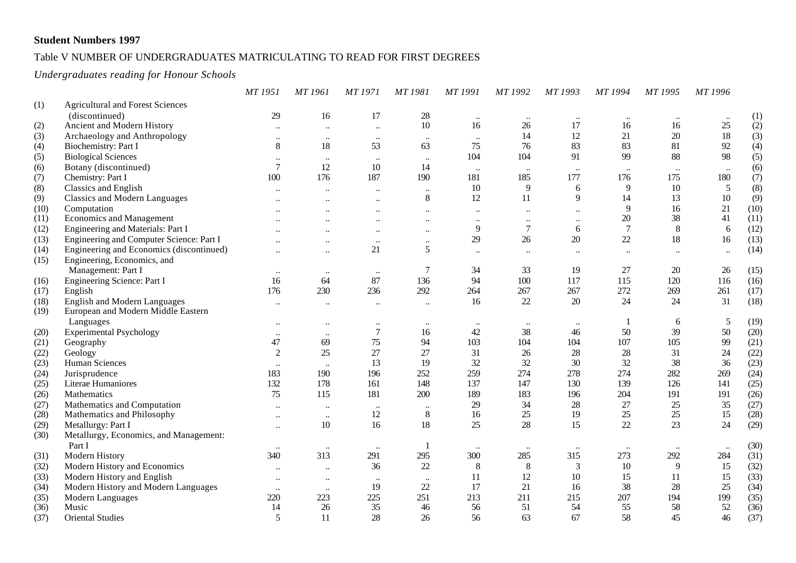#### Table V NUMBER OF UNDERGRADUATES MATRICULATING TO READ FOR FIRST DEGREES

#### *Undergraduates reading for Honour Schools*

|      |                                          | MT 1951              | MT 1961                   | MT 1971                   | MT 1981              | MT 1991              | MT 1992   | MT 1993              | MT 1994              | MT 1995              | MT 1996   |      |
|------|------------------------------------------|----------------------|---------------------------|---------------------------|----------------------|----------------------|-----------|----------------------|----------------------|----------------------|-----------|------|
| (1)  | <b>Agricultural and Forest Sciences</b>  |                      |                           |                           |                      |                      |           |                      |                      |                      |           |      |
|      | (discontinued)                           | 29                   | 16                        | 17                        | $28\,$               | $\ddotsc$            | $\ddotsc$ |                      | $\ldots$             | $\ddotsc$            |           | (1)  |
| (2)  | Ancient and Modern History               | $\ddotsc$            | $\ddot{\phantom{a}}$      | $\ddotsc$                 | 10                   | 16                   | 26        | 17                   | 16                   | 16                   | 25        | (2)  |
| (3)  | Archaeology and Anthropology             | $\ddotsc$            | $\ddotsc$                 | $\ddotsc$                 | $\ddotsc$            | $\ddotsc$            | 14        | 12                   | 21                   | 20                   | 18        | (3)  |
| (4)  | Biochemistry: Part I                     | 8                    | 18                        | 53                        | 63                   | 75                   | 76        | 83                   | 83                   | 81                   | 92        | (4)  |
| (5)  | <b>Biological Sciences</b>               | $\ddotsc$            | $\ddotsc$                 | $\ddotsc$                 | $\ldots$             | 104                  | 104       | 91                   | 99                   | 88                   | 98        | (5)  |
| (6)  | Botany (discontinued)                    | $\overline{7}$       | 12                        | 10                        | 14                   | $\ddotsc$            | $\ddotsc$ | $\ddot{\phantom{a}}$ | $\ldots$             | $\ddotsc$            | $\ldots$  | (6)  |
| (7)  | Chemistry: Part I                        | 100                  | 176                       | 187                       | 190                  | 181                  | 185       | 177                  | 176                  | 175                  | 180       | (7)  |
| (8)  | <b>Classics and English</b>              | $\ddotsc$            | $\ddot{\phantom{0}}\cdot$ | $\ddot{\phantom{0}}$      | $\ldots$             | 10                   | 9         | 6                    | 9                    | 10                   | 5         | (8)  |
| (9)  | <b>Classics and Modern Languages</b>     | $\ddotsc$            | $\ddot{\phantom{0}}$      | $\ddotsc$                 | $8\,$                | 12                   | 11        | 9                    | 14                   | 13                   | $10\,$    | (9)  |
| (10) | Computation                              |                      |                           |                           | $\ddotsc$            | $\ddot{\phantom{0}}$ |           |                      | 9                    | 16                   | 21        | (10) |
| (11) | <b>Economics and Management</b>          | $\ddotsc$            | $\ddot{\phantom{0}}$      | $\ddot{\phantom{0}}$      | $\ddotsc$            | $\ddot{\phantom{0}}$ | $\ddotsc$ | $\ddotsc$            | 20                   | 38                   | 41        | (11) |
| (12) | Engineering and Materials: Part I        |                      |                           |                           | $\ddot{\phantom{0}}$ | 9                    | $\tau$    | 6                    | $\tau$               | 8                    | 6         | (12) |
| (13) | Engineering and Computer Science: Part I |                      | $\ddotsc$                 | $\ddotsc$                 | $\ddotsc$            | 29                   | 26        | 20                   | 22                   | 18                   | 16        | (13) |
| (14) | Engineering and Economics (discontinued) | $\ddotsc$            | $\ddotsc$                 | 21                        | 5                    | $\ddot{\phantom{a}}$ | $\ddotsc$ |                      | $\ddot{\phantom{a}}$ | $\ddot{\phantom{a}}$ | $\ddotsc$ | (14) |
| (15) | Engineering, Economics, and              |                      |                           |                           |                      |                      |           |                      |                      |                      |           |      |
|      | Management: Part I                       | $\ldots$             | $\ddotsc$                 | $\ddotsc$                 | $\boldsymbol{7}$     | 34                   | 33        | 19                   | 27                   | 20                   | 26        | (15) |
| (16) | Engineering Science: Part I              | 16                   | 64                        | 87                        | 136                  | 94                   | 100       | 117                  | 115                  | 120                  | 116       | (16) |
| (17) | English                                  | 176                  | 230                       | 236                       | 292                  | 264                  | 267       | 267                  | 272                  | 269                  | 261       | (17) |
| (18) | <b>English and Modern Languages</b>      | $\ddotsc$            | $\ddotsc$                 | $\ddotsc$                 | $\ddots$             | 16                   | 22        | 20                   | 24                   | 24                   | 31        | (18) |
| (19) | European and Modern Middle Eastern       |                      |                           |                           |                      |                      |           |                      |                      |                      |           |      |
|      | Languages                                | $\ddotsc$            | $\ddotsc$                 | $\ddotsc$                 | $\ldots$             | $\ddotsc$            | $\ldots$  | $\ddotsc$            |                      | 6                    | 5         | (19) |
| (20) | <b>Experimental Psychology</b>           | $\ddotsc$            | $\ddot{\phantom{0}}\cdot$ | $\boldsymbol{7}$          | 16                   | 42                   | 38        | 46                   | 50                   | 39                   | 50        | (20) |
| (21) | Geography                                | 47                   | 69                        | 75                        | 94                   | 103                  | 104       | 104                  | 107                  | 105                  | 99        | (21) |
| (22) | Geology                                  | 2                    | 25                        | 27                        | 27                   | 31                   | 26        | 28                   | 28                   | 31                   | 24        | (22) |
| (23) | Human Sciences                           | $\ddotsc$            | $\ldots$                  | 13                        | 19                   | 32                   | 32        | 30                   | 32                   | 38                   | 36        | (23) |
| (24) | Jurisprudence                            | 183                  | 190                       | 196                       | 252                  | 259                  | 274       | 278                  | 274                  | 282                  | 269       | (24) |
| (25) | Literae Humaniores                       | 132                  | 178                       | 161                       | 148                  | 137                  | 147       | 130                  | 139                  | 126                  | 141       | (25) |
| (26) | Mathematics                              | 75                   | 115                       | 181                       | 200                  | 189                  | 183       | 196                  | 204                  | 191                  | 191       | (26) |
| (27) | Mathematics and Computation              | $\ddotsc$            | $\ddot{\phantom{0}}\cdot$ | $\ddotsc$                 | $\ldots$             | 29                   | 34        | 28                   | 27                   | 25                   | 35        | (27) |
| (28) | Mathematics and Philosophy               | $\ddotsc$            | $\ddotsc$                 | 12                        | $\,8\,$              | 16                   | 25        | 19                   | 25                   | 25                   | 15        | (28) |
| (29) | Metallurgy: Part I                       | $\ddotsc$            | $10\,$                    | 16                        | $18\,$               | 25                   | 28        | 15                   | 22                   | 23                   | 24        | (29) |
| (30) | Metallurgy, Economics, and Management:   |                      |                           |                           |                      |                      |           |                      |                      |                      |           |      |
|      | Part I                                   |                      |                           | $\ddot{\phantom{0}}\cdot$ | -1                   |                      |           |                      | $\ddotsc$            |                      | $\ddotsc$ | (30) |
| (31) | Modern History                           | 340                  | 313                       | 291                       | 295                  | 300                  | 285       | 315                  | 273                  | 292                  | 284       | (31) |
| (32) | Modern History and Economics             | $\ddot{\phantom{a}}$ | $\ddot{\phantom{a}}$      | 36                        | $22\,$               | 8                    | 8         | 3                    | 10                   | 9                    | 15        | (32) |
| (33) | Modern History and English               | $\ddotsc$            | $\ddotsc$                 | $\ddot{\phantom{0}}$      | $\ddotsc$            | 11                   | 12        | 10                   | 15                   | 11                   | 15        | (33) |
| (34) | Modern History and Modern Languages      | $\ddotsc$            | $\ddotsc$                 | 19                        | 22                   | 17                   | 21        | 16                   | 38                   | 28                   | 25        | (34) |
| (35) | Modern Languages                         | 220                  | 223                       | 225                       | 251                  | 213                  | 211       | 215                  | 207                  | 194                  | 199       | (35) |
| (36) | Music                                    | 14                   | 26                        | 35                        | 46                   | 56                   | 51        | 54                   | 55                   | 58                   | 52        | (36) |
| (37) | <b>Oriental Studies</b>                  | 5                    | 11                        | 28                        | 26                   | 56                   | 63        | 67                   | 58                   | 45                   | 46        | (37) |